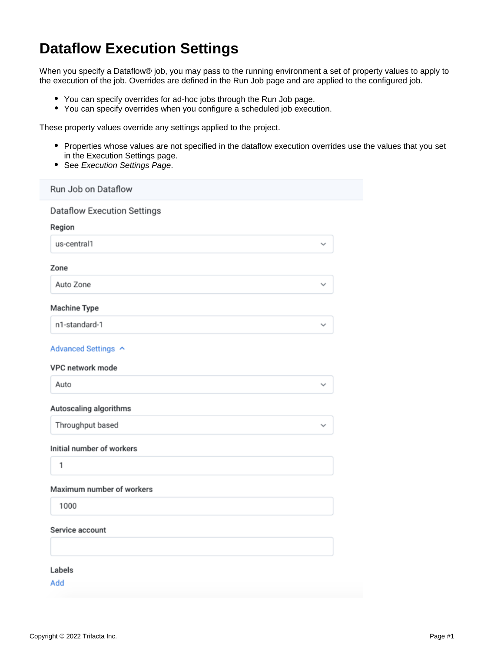# **Dataflow Execution Settings**

When you specify a Dataflow® job, you may pass to the running environment a set of property values to apply to the execution of the job. Overrides are defined in the Run Job page and are applied to the configured job.

- You can specify overrides for ad-hoc jobs through the Run Job page.
- You can specify overrides when you configure a scheduled job execution.

These property values override any settings applied to the project.

- Properties whose values are not specified in the dataflow execution overrides use the values that you set in the Execution Settings page.
- See [Execution Settings Page](https://docs.trifacta.com/display/DP/Execution+Settings+Page).

| Run Job on Dataflow                          |              |  |
|----------------------------------------------|--------------|--|
| <b>Dataflow Execution Settings</b><br>Region |              |  |
| us-central1                                  |              |  |
| Zone                                         |              |  |
| Auto Zone                                    | ✓            |  |
| <b>Machine Type</b>                          |              |  |
| n1-standard-1                                |              |  |
| Advanced Settings ^                          |              |  |
| VPC network mode                             |              |  |
| Auto                                         | $\checkmark$ |  |
| Autoscaling algorithms                       |              |  |
| Throughput based                             |              |  |
| Initial number of workers                    |              |  |
| 1                                            |              |  |
| Maximum number of workers                    |              |  |
| 1000                                         |              |  |
| Service account                              |              |  |
|                                              |              |  |
| Labels                                       |              |  |
| Add                                          |              |  |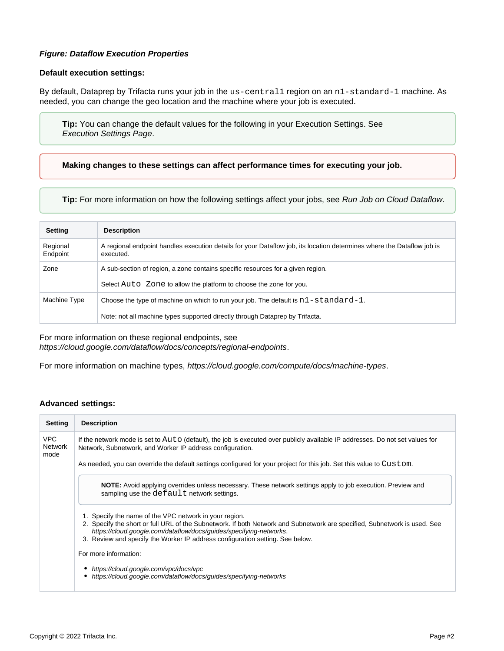# **Figure: Dataflow Execution Properties**

## **Default execution settings:**

By default, Dataprep by Trifacta runs your job in the us-central1 region on an n1-standard-1 machine. As needed, you can change the geo location and the machine where your job is executed.

**Tip:** You can change the default values for the following in your Execution Settings. See [Execution Settings Page](https://docs.trifacta.com/display/DP/Execution+Settings+Page).

**Making changes to these settings can affect performance times for executing your job.**

**Tip:** For more information on how the following settings affect your jobs, see [Run Job on Cloud Dataflow](https://docs.trifacta.com/display/DP/Run+Job+on+Cloud+Dataflow).

| <b>Setting</b>       | <b>Description</b>                                                                                                                  |
|----------------------|-------------------------------------------------------------------------------------------------------------------------------------|
| Regional<br>Endpoint | A regional endpoint handles execution details for your Dataflow job, its location determines where the Dataflow job is<br>executed. |
| Zone                 | A sub-section of region, a zone contains specific resources for a given region.                                                     |
|                      | Select Auto Zone to allow the platform to choose the zone for you.                                                                  |
| Machine Type         | Choose the type of machine on which to run your job. The default is $n1$ -standard-1.                                               |
|                      | Note: not all machine types supported directly through Dataprep by Trifacta.                                                        |

For more information on these regional endpoints, see

<https://cloud.google.com/dataflow/docs/concepts/regional-endpoints>.

For more information on machine types, <https://cloud.google.com/compute/docs/machine-types>.

### **Advanced settings:**

| <b>Setting</b>                       | <b>Description</b>                                                                                                                                                                                                                                                                                                                         |
|--------------------------------------|--------------------------------------------------------------------------------------------------------------------------------------------------------------------------------------------------------------------------------------------------------------------------------------------------------------------------------------------|
| <b>VPC</b><br><b>Network</b><br>mode | If the network mode is set to Auto (default), the job is executed over publicly available IP addresses. Do not set values for<br>Network, Subnetwork, and Worker IP address configuration.                                                                                                                                                 |
|                                      | As needed, you can override the default settings configured for your project for this job. Set this value to Custom.                                                                                                                                                                                                                       |
|                                      | NOTE: Avoid applying overrides unless necessary. These network settings apply to job execution. Preview and<br>sampling use the default network settings.                                                                                                                                                                                  |
|                                      | 1. Specify the name of the VPC network in your region.<br>2. Specify the short or full URL of the Subnetwork. If both Network and Subnetwork are specified, Subnetwork is used. See<br>https://cloud.google.com/dataflow/docs/guides/specifying-networks.<br>3. Review and specify the Worker IP address configuration setting. See below. |
|                                      | For more information:                                                                                                                                                                                                                                                                                                                      |
|                                      | https://cloud.google.com/vpc/docs/vpc<br>https://cloud.google.com/dataflow/docs/guides/specifying-networks                                                                                                                                                                                                                                 |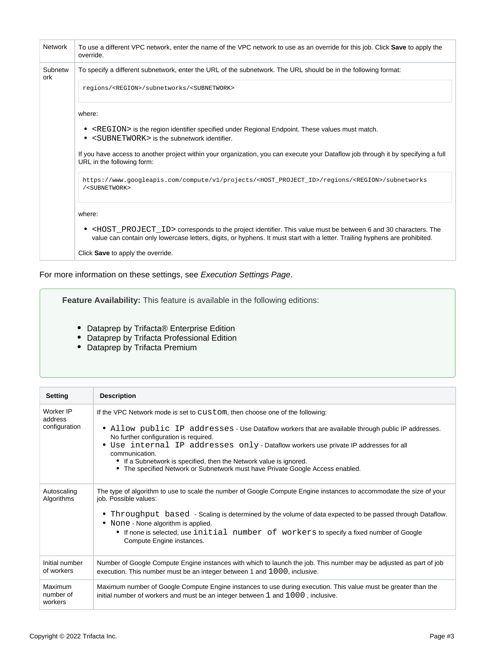| <b>Network</b> | To use a different VPC network, enter the name of the VPC network to use as an override for this job. Click <b>Save</b> to apply the<br>override.                                                                                                           |
|----------------|-------------------------------------------------------------------------------------------------------------------------------------------------------------------------------------------------------------------------------------------------------------|
| Subnetw<br>ork | To specify a different subnetwork, enter the URL of the subnetwork. The URL should be in the following format:                                                                                                                                              |
|                | regions/ <region>/subnetworks/<subnetwork></subnetwork></region>                                                                                                                                                                                            |
|                | where:                                                                                                                                                                                                                                                      |
|                | • <region> is the region identifier specified under Regional Endpoint. These values must match.<br/>• <subnetwork> is the subnetwork identifier.</subnetwork></region>                                                                                      |
|                | If you have access to another project within your organization, you can execute your Dataflow job through it by specifying a full<br>URL in the following form:                                                                                             |
|                | https://www.googleapis.com/compute/v1/projects/ <host_project_id>/regions/<region>/subnetworks<br/>/<subnetwork></subnetwork></region></host_project_id>                                                                                                    |
|                | where:                                                                                                                                                                                                                                                      |
|                | • <host id="" project=""> corresponds to the project identifier. This value must be between 6 and 30 characters. The<br/>value can contain only lowercase letters, digits, or hyphens. It must start with a letter. Trailing hyphens are prohibited.</host> |
|                | Click Save to apply the override.                                                                                                                                                                                                                           |

For more information on these settings, see [Execution Settings Page](https://docs.trifacta.com/display/DP/Execution+Settings+Page).

**Feature Availability:** This feature is available in the following editions:

- Dataprep by Trifacta® Enterprise Edition
- Dataprep by Trifacta Professional Edition
- Dataprep by Trifacta Premium

| <b>Setting</b>                        | <b>Description</b>                                                                                                                                                                                                                                                                                                                                                                                                                                                                           |
|---------------------------------------|----------------------------------------------------------------------------------------------------------------------------------------------------------------------------------------------------------------------------------------------------------------------------------------------------------------------------------------------------------------------------------------------------------------------------------------------------------------------------------------------|
| Worker IP<br>address<br>configuration | If the VPC Network mode is set to custom, then choose one of the following:<br>• Allow public IP addresses - Use Dataflow workers that are available through public IP addresses.<br>No further configuration is required.<br>• Use internal IP addresses only - Dataflow workers use private IP addresses for all<br>communication.<br>• If a Subnetwork is specified, then the Network value is ignored.<br>• The specified Network or Subnetwork must have Private Google Access enabled. |
| Autoscaling<br>Algorithms             | The type of algorithm to use to scale the number of Google Compute Engine instances to accommodate the size of your<br>job. Possible values:<br>• Throughput based - Scaling is determined by the volume of data expected to be passed through Dataflow.<br>• None - None algorithm is applied.<br>• If none is selected, use initial number of workers to specify a fixed number of Google<br>Compute Engine instances.                                                                     |
| Initial number<br>of workers          | Number of Google Compute Engine instances with which to launch the job. This number may be adjusted as part of job<br>execution. This number must be an integer between 1 and 1000, inclusive.                                                                                                                                                                                                                                                                                               |
| Maximum<br>number of<br>workers       | Maximum number of Google Compute Engine instances to use during execution. This value must be greater than the<br>initial number of workers and must be an integer between 1 and 1000, inclusive.                                                                                                                                                                                                                                                                                            |